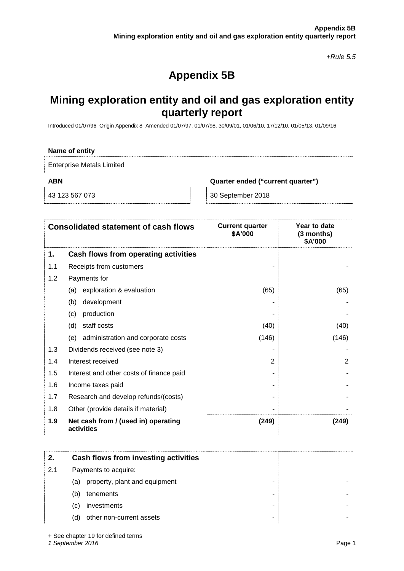*+Rule 5.5*

# **Appendix 5B**

## **Mining exploration entity and oil and gas exploration entity quarterly report**

Introduced 01/07/96 Origin Appendix 8 Amended 01/07/97, 01/07/98, 30/09/01, 01/06/10, 17/12/10, 01/05/13, 01/09/16

#### **Name of entity**

Enterprise Metals Limited

**ABN Quarter ended ("current quarter")**

43 123 567 073 30 September 2018

| <b>Consolidated statement of cash flows</b> |                                                   | <b>Current quarter</b><br>\$A'000 | Year to date<br>(3 months)<br>\$A'000 |
|---------------------------------------------|---------------------------------------------------|-----------------------------------|---------------------------------------|
| 1.                                          | Cash flows from operating activities              |                                   |                                       |
| 1.1                                         | Receipts from customers                           |                                   |                                       |
| 1.2                                         | Payments for                                      |                                   |                                       |
|                                             | exploration & evaluation<br>(a)                   | (65)                              | (65)                                  |
|                                             | development<br>(b)                                |                                   |                                       |
|                                             | production<br>(c)                                 |                                   |                                       |
|                                             | staff costs<br>(d)                                | (40)                              | (40)                                  |
|                                             | administration and corporate costs<br>(e)         | (146)                             | (146)                                 |
| 1.3                                         | Dividends received (see note 3)                   |                                   |                                       |
| 1.4                                         | Interest received                                 | 2                                 | 2                                     |
| 1.5                                         | Interest and other costs of finance paid          |                                   |                                       |
| 1.6                                         | Income taxes paid                                 |                                   |                                       |
| 1.7                                         | Research and develop refunds/(costs)              |                                   |                                       |
| 1.8                                         | Other (provide details if material)               |                                   |                                       |
| 1.9                                         | Net cash from / (used in) operating<br>activities | (249)                             | (249)                                 |

|     | Cash flows from investing activities |  |
|-----|--------------------------------------|--|
| 2.1 | Payments to acquire:                 |  |
|     | property, plant and equipment<br>(a) |  |
|     | tenements<br>(b)                     |  |
|     | investments<br>(C)                   |  |
|     | other non-current assets<br>(d)      |  |

+ See chapter 19 for defined terms

*1 September 2016* Page 1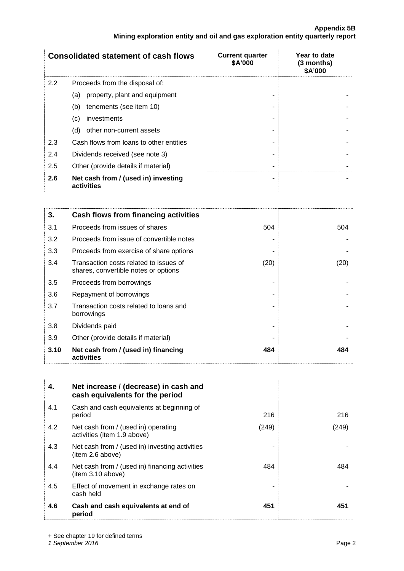### **Appendix 5B Mining exploration entity and oil and gas exploration entity quarterly report**

|               | <b>Consolidated statement of cash flows</b>       | <b>Current quarter</b><br>\$A'000 | Year to date<br>$(3$ months)<br><b>\$A'000</b> |
|---------------|---------------------------------------------------|-----------------------------------|------------------------------------------------|
| $2.2^{\circ}$ | Proceeds from the disposal of:                    |                                   |                                                |
|               | property, plant and equipment<br>(a)              |                                   |                                                |
|               | tenements (see item 10)<br>(b)                    |                                   |                                                |
|               | investments<br>(c)                                |                                   |                                                |
|               | other non-current assets<br>(d)                   |                                   |                                                |
| 2.3           | Cash flows from loans to other entities           |                                   |                                                |
| 2.4           | Dividends received (see note 3)                   |                                   |                                                |
| 2.5           | Other (provide details if material)               |                                   |                                                |
| 2.6           | Net cash from / (used in) investing<br>activities |                                   |                                                |

| 3.   | <b>Cash flows from financing activities</b>                                    |      |      |
|------|--------------------------------------------------------------------------------|------|------|
| 3.1  | Proceeds from issues of shares                                                 | 504  | 504  |
| 3.2  | Proceeds from issue of convertible notes                                       |      |      |
| 3.3  | Proceeds from exercise of share options                                        |      |      |
| 3.4  | Transaction costs related to issues of<br>shares, convertible notes or options | (20) | (20) |
| 3.5  | Proceeds from borrowings                                                       |      |      |
| 3.6  | Repayment of borrowings                                                        |      |      |
| 3.7  | Transaction costs related to loans and<br>borrowings                           |      |      |
| 3.8  | Dividends paid                                                                 |      |      |
| 3.9  | Other (provide details if material)                                            |      |      |
| 3.10 | Net cash from / (used in) financing<br>activities                              | 484  | 484  |

| 4.  | Net increase / (decrease) in cash and<br>cash equivalents for the period |       |      |
|-----|--------------------------------------------------------------------------|-------|------|
| 4.1 | Cash and cash equivalents at beginning of<br>period                      | 216   | 216  |
| 4.2 | Net cash from / (used in) operating<br>activities (item 1.9 above)       | (249) | 249) |
| 4.3 | Net cash from / (used in) investing activities<br>(item 2.6 above)       |       |      |
| 4.4 | Net cash from / (used in) financing activities<br>item 3.10 above)       | 484   | 484  |
| 4.5 | Effect of movement in exchange rates on<br>cash held                     |       |      |
| 4.6 | Cash and cash equivalents at end of<br>period                            | 451   | 451  |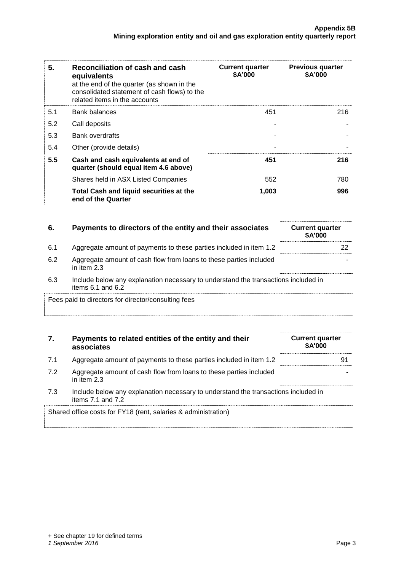| 5.  | Reconciliation of cash and cash<br>equivalents<br>at the end of the quarter (as shown in the<br>consolidated statement of cash flows) to the<br>related items in the accounts | <b>Current quarter</b><br>\$A'000 | <b>Previous quarter</b><br>\$A'000 |
|-----|-------------------------------------------------------------------------------------------------------------------------------------------------------------------------------|-----------------------------------|------------------------------------|
| 5.1 | Bank balances                                                                                                                                                                 | 451                               | 216.                               |
| 5.2 | Call deposits                                                                                                                                                                 |                                   |                                    |
| 5.3 | <b>Bank overdrafts</b>                                                                                                                                                        |                                   |                                    |
| 5.4 | Other (provide details)                                                                                                                                                       |                                   |                                    |
| 5.5 | Cash and cash equivalents at end of<br>quarter (should equal item 4.6 above)                                                                                                  | 451                               | 216                                |
|     | Shares held in ASX Listed Companies                                                                                                                                           | 552                               | 780                                |
|     | Total Cash and liquid securities at the<br>end of the Quarter                                                                                                                 | 1,003                             | 996                                |

## **6.** Payments to directors of the entity and their associates Current quarter

- 6.1 Aggregate amount of payments to these parties included in item 1.2 | Aggregate amount of payments to these parties included in item 1.2 | Aggregate amount of payments to these parties included in item 1.2 | Aggregate a
- 6.2 Aggregate amount of cash flow from loans to these parties included in item 2.3
- 6.3 Include below any explanation necessary to understand the transactions included in items 6.1 and 6.2

Fees paid to directors for director/consulting fees

## **7. Payments to related entities of the entity and their associates**

- 7.1 Aggregate amount of payments to these parties included in item 1.2
- 7.2 Aggregate amount of cash flow from loans to these parties included in item 2.3
- 7.3 Include below any explanation necessary to understand the transactions included in items 7.1 and 7.2

Shared office costs for FY18 (rent, salaries & administration)

| + See chapter 19 for defined terms |  |  |
|------------------------------------|--|--|
|                                    |  |  |

#### *1 September 2016* Page 3

| <b>Current quarter</b><br>\$A'000 |  |
|-----------------------------------|--|

**\$A'000**

-

| <b>Current quarter</b><br>\$A'000 |  |
|-----------------------------------|--|
| 91                                |  |
|                                   |  |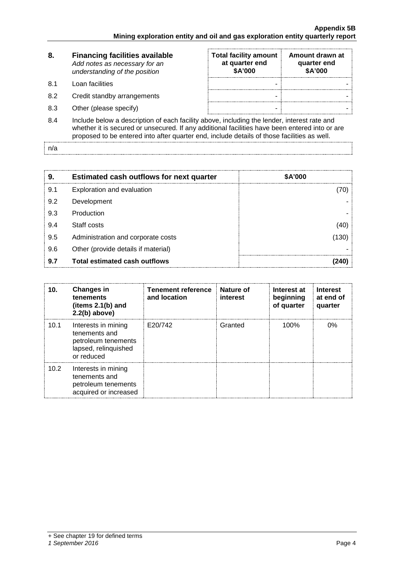| 8.  | <b>Financing facilities available</b><br>Add notes as necessary for an<br>understanding of the position                                                                                       | <b>Total facility amount</b><br>at quarter end<br>\$A'000 | Amount drawn at<br>quarter end<br>\$A'000 |  |
|-----|-----------------------------------------------------------------------------------------------------------------------------------------------------------------------------------------------|-----------------------------------------------------------|-------------------------------------------|--|
| 8.1 | Loan facilities                                                                                                                                                                               |                                                           |                                           |  |
| 8.2 | Credit standby arrangements                                                                                                                                                                   |                                                           |                                           |  |
| 8.3 | Other (please specify)                                                                                                                                                                        | ۰                                                         |                                           |  |
| 8.4 | Include below a description of each facility above, including the lender, interest rate and<br>whather it is secured or unsecured. If any additional facilities have been entered into or are |                                                           |                                           |  |

whether it is secured or unsecured. If any additional facilities have been entered into or are proposed to be entered into after quarter end, include details of those facilities as well.

n/a

| 9.  | <b>Estimated cash outflows for next quarter</b> | \$A'000 |
|-----|-------------------------------------------------|---------|
| 9.1 | Exploration and evaluation                      |         |
| 9.2 | Development                                     |         |
| 9.3 | Production                                      |         |
| 9.4 | Staff costs                                     |         |
| 9.5 | Administration and corporate costs              | 130     |
| 9.6 | Other (provide details if material)             |         |
| 9.7 | Total estimated cash outflows                   |         |

| 10.  | <b>Changes in</b><br>tenements<br>(items $2.1(b)$ and<br>$2.2(b)$ above)                          | <b>Tenement reference</b><br>and location | Nature of<br>interest | Interest at<br>beginning<br>of quarter | <b>Interest</b><br>at end of<br>quarter |
|------|---------------------------------------------------------------------------------------------------|-------------------------------------------|-----------------------|----------------------------------------|-----------------------------------------|
| 10.1 | Interests in mining<br>tenements and<br>petroleum tenements<br>lapsed, relinquished<br>or reduced | E20/742                                   | Granted               | 100%                                   | 0%                                      |
| 10.2 | Interests in mining<br>tenements and<br>petroleum tenements<br>acquired or increased              |                                           |                       |                                        |                                         |